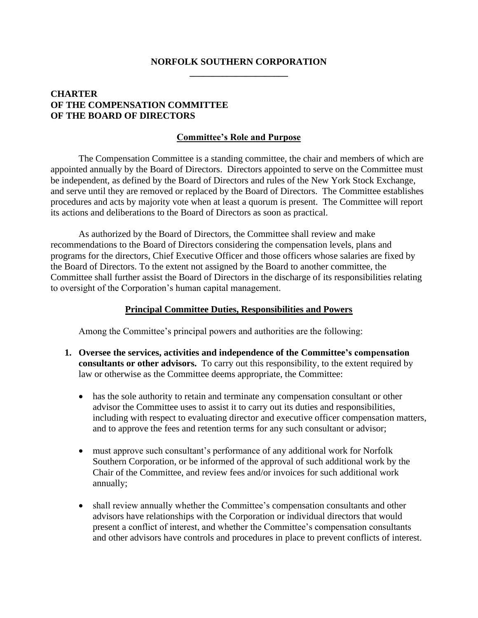## **NORFOLK SOUTHERN CORPORATION \_\_\_\_\_\_\_\_\_\_\_\_\_\_\_\_\_\_\_\_\_**

## **CHARTER OF THE COMPENSATION COMMITTEE OF THE BOARD OF DIRECTORS**

## **Committee's Role and Purpose**

The Compensation Committee is a standing committee, the chair and members of which are appointed annually by the Board of Directors. Directors appointed to serve on the Committee must be independent, as defined by the Board of Directors and rules of the New York Stock Exchange, and serve until they are removed or replaced by the Board of Directors. The Committee establishes procedures and acts by majority vote when at least a quorum is present. The Committee will report its actions and deliberations to the Board of Directors as soon as practical.

As authorized by the Board of Directors, the Committee shall review and make recommendations to the Board of Directors considering the compensation levels, plans and programs for the directors, Chief Executive Officer and those officers whose salaries are fixed by the Board of Directors. To the extent not assigned by the Board to another committee, the Committee shall further assist the Board of Directors in the discharge of its responsibilities relating to oversight of the Corporation's human capital management.

## **Principal Committee Duties, Responsibilities and Powers**

Among the Committee's principal powers and authorities are the following:

- **1. Oversee the services, activities and independence of the Committee's compensation consultants or other advisors.** To carry out this responsibility, to the extent required by law or otherwise as the Committee deems appropriate, the Committee:
	- has the sole authority to retain and terminate any compensation consultant or other advisor the Committee uses to assist it to carry out its duties and responsibilities, including with respect to evaluating director and executive officer compensation matters, and to approve the fees and retention terms for any such consultant or advisor;
	- must approve such consultant's performance of any additional work for Norfolk Southern Corporation, or be informed of the approval of such additional work by the Chair of the Committee, and review fees and/or invoices for such additional work annually;
	- shall review annually whether the Committee's compensation consultants and other advisors have relationships with the Corporation or individual directors that would present a conflict of interest, and whether the Committee's compensation consultants and other advisors have controls and procedures in place to prevent conflicts of interest.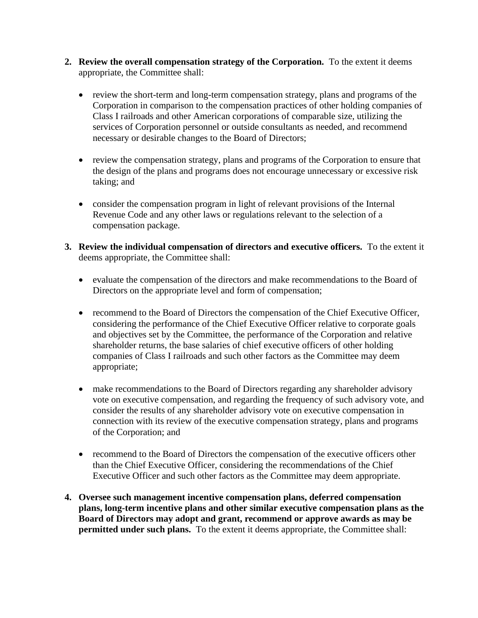- **2. Review the overall compensation strategy of the Corporation.** To the extent it deems appropriate, the Committee shall:
	- review the short-term and long-term compensation strategy, plans and programs of the Corporation in comparison to the compensation practices of other holding companies of Class I railroads and other American corporations of comparable size, utilizing the services of Corporation personnel or outside consultants as needed, and recommend necessary or desirable changes to the Board of Directors;
	- review the compensation strategy, plans and programs of the Corporation to ensure that the design of the plans and programs does not encourage unnecessary or excessive risk taking; and
	- consider the compensation program in light of relevant provisions of the Internal Revenue Code and any other laws or regulations relevant to the selection of a compensation package.
- **3. Review the individual compensation of directors and executive officers.** To the extent it deems appropriate, the Committee shall:
	- evaluate the compensation of the directors and make recommendations to the Board of Directors on the appropriate level and form of compensation;
	- recommend to the Board of Directors the compensation of the Chief Executive Officer, considering the performance of the Chief Executive Officer relative to corporate goals and objectives set by the Committee, the performance of the Corporation and relative shareholder returns, the base salaries of chief executive officers of other holding companies of Class I railroads and such other factors as the Committee may deem appropriate;
	- make recommendations to the Board of Directors regarding any shareholder advisory vote on executive compensation, and regarding the frequency of such advisory vote, and consider the results of any shareholder advisory vote on executive compensation in connection with its review of the executive compensation strategy, plans and programs of the Corporation; and
	- recommend to the Board of Directors the compensation of the executive officers other than the Chief Executive Officer, considering the recommendations of the Chief Executive Officer and such other factors as the Committee may deem appropriate.
- **4. Oversee such management incentive compensation plans, deferred compensation plans, long-term incentive plans and other similar executive compensation plans as the Board of Directors may adopt and grant, recommend or approve awards as may be permitted under such plans.** To the extent it deems appropriate, the Committee shall: